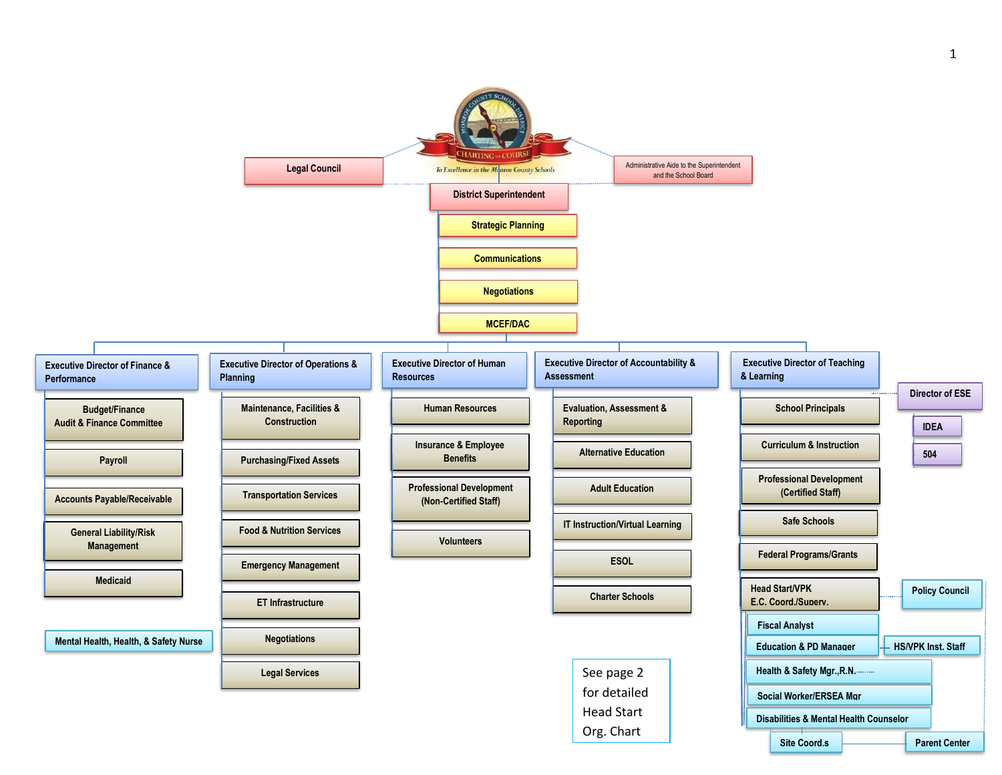